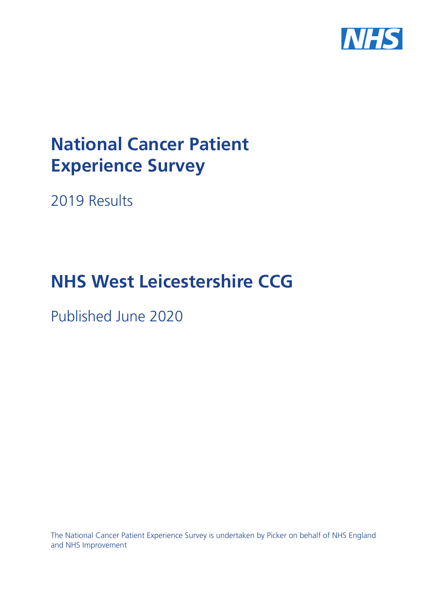

# **National Cancer Patient Experience Survey**

2019 Results

# **NHS West Leicestershire CCG**

Published June 2020

The National Cancer Patient Experience Survey is undertaken by Picker on behalf of NHS England and NHS Improvement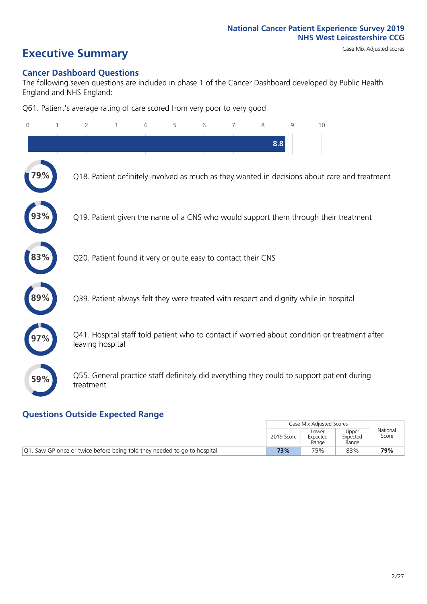# **Executive Summary** Case Mix Adjusted scores

#### **Cancer Dashboard Questions**

The following seven questions are included in phase 1 of the Cancer Dashboard developed by Public Health England and NHS England:

Q61. Patient's average rating of care scored from very poor to very good

| $\overline{0}$ | $\overline{2}$   | 3                                                             | $\overline{4}$ | 5 | 6 | 7 | 8   | 9 | 10                                                                                            |
|----------------|------------------|---------------------------------------------------------------|----------------|---|---|---|-----|---|-----------------------------------------------------------------------------------------------|
|                |                  |                                                               |                |   |   |   | 8.8 |   |                                                                                               |
|                |                  |                                                               |                |   |   |   |     |   | Q18. Patient definitely involved as much as they wanted in decisions about care and treatment |
|                |                  |                                                               |                |   |   |   |     |   | Q19. Patient given the name of a CNS who would support them through their treatment           |
| 83%            |                  | Q20. Patient found it very or quite easy to contact their CNS |                |   |   |   |     |   |                                                                                               |
|                |                  |                                                               |                |   |   |   |     |   | Q39. Patient always felt they were treated with respect and dignity while in hospital         |
|                | leaving hospital |                                                               |                |   |   |   |     |   | Q41. Hospital staff told patient who to contact if worried about condition or treatment after |
| 59%            | treatment        |                                                               |                |   |   |   |     |   | Q55. General practice staff definitely did everything they could to support patient during    |
|                |                  |                                                               |                |   |   |   |     |   |                                                                                               |

### **Questions Outside Expected Range**

|                                                                           |            | Case Mix Adiusted Scores   |                            |                   |
|---------------------------------------------------------------------------|------------|----------------------------|----------------------------|-------------------|
|                                                                           | 2019 Score | Lower<br>Expected<br>Range | Upper<br>Expected<br>Range | National<br>Score |
| [Q1. Saw GP once or twice before being told they needed to go to hospital | 73%        | 75%                        | 83%                        | 79%               |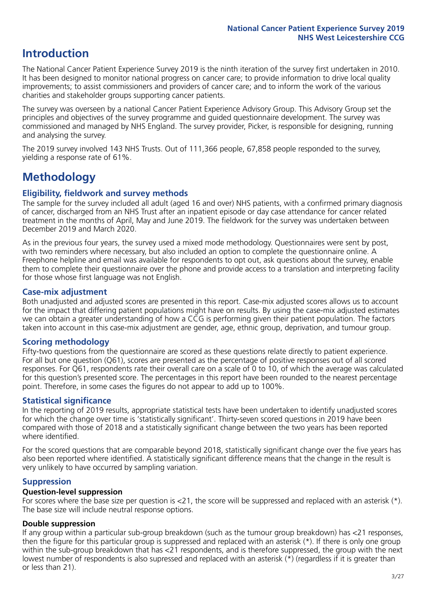## **Introduction**

The National Cancer Patient Experience Survey 2019 is the ninth iteration of the survey first undertaken in 2010. It has been designed to monitor national progress on cancer care; to provide information to drive local quality improvements; to assist commissioners and providers of cancer care; and to inform the work of the various charities and stakeholder groups supporting cancer patients.

The survey was overseen by a national Cancer Patient Experience Advisory Group. This Advisory Group set the principles and objectives of the survey programme and guided questionnaire development. The survey was commissioned and managed by NHS England. The survey provider, Picker, is responsible for designing, running and analysing the survey.

The 2019 survey involved 143 NHS Trusts. Out of 111,366 people, 67,858 people responded to the survey, yielding a response rate of 61%.

# **Methodology**

#### **Eligibility, fieldwork and survey methods**

The sample for the survey included all adult (aged 16 and over) NHS patients, with a confirmed primary diagnosis of cancer, discharged from an NHS Trust after an inpatient episode or day case attendance for cancer related treatment in the months of April, May and June 2019. The fieldwork for the survey was undertaken between December 2019 and March 2020.

As in the previous four years, the survey used a mixed mode methodology. Questionnaires were sent by post, with two reminders where necessary, but also included an option to complete the questionnaire online. A Freephone helpline and email was available for respondents to opt out, ask questions about the survey, enable them to complete their questionnaire over the phone and provide access to a translation and interpreting facility for those whose first language was not English.

#### **Case-mix adjustment**

Both unadjusted and adjusted scores are presented in this report. Case-mix adjusted scores allows us to account for the impact that differing patient populations might have on results. By using the case-mix adjusted estimates we can obtain a greater understanding of how a CCG is performing given their patient population. The factors taken into account in this case-mix adjustment are gender, age, ethnic group, deprivation, and tumour group.

#### **Scoring methodology**

Fifty-two questions from the questionnaire are scored as these questions relate directly to patient experience. For all but one question (Q61), scores are presented as the percentage of positive responses out of all scored responses. For Q61, respondents rate their overall care on a scale of 0 to 10, of which the average was calculated for this question's presented score. The percentages in this report have been rounded to the nearest percentage point. Therefore, in some cases the figures do not appear to add up to 100%.

#### **Statistical significance**

In the reporting of 2019 results, appropriate statistical tests have been undertaken to identify unadjusted scores for which the change over time is 'statistically significant'. Thirty-seven scored questions in 2019 have been compared with those of 2018 and a statistically significant change between the two years has been reported where identified.

For the scored questions that are comparable beyond 2018, statistically significant change over the five years has also been reported where identified. A statistically significant difference means that the change in the result is very unlikely to have occurred by sampling variation.

#### **Suppression**

#### **Question-level suppression**

For scores where the base size per question is  $<$ 21, the score will be suppressed and replaced with an asterisk (\*). The base size will include neutral response options.

#### **Double suppression**

If any group within a particular sub-group breakdown (such as the tumour group breakdown) has <21 responses, then the figure for this particular group is suppressed and replaced with an asterisk (\*). If there is only one group within the sub-group breakdown that has <21 respondents, and is therefore suppressed, the group with the next lowest number of respondents is also supressed and replaced with an asterisk (\*) (regardless if it is greater than or less than 21).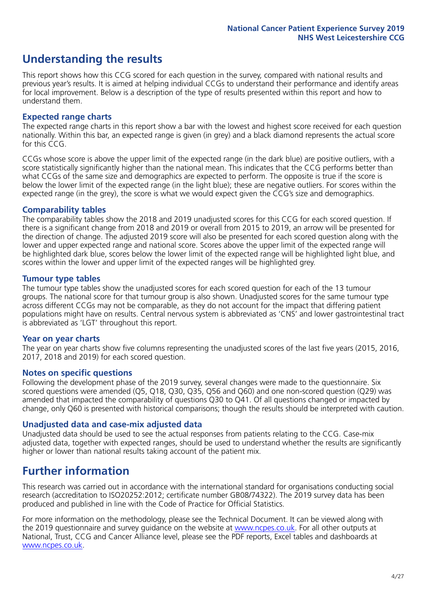# **Understanding the results**

This report shows how this CCG scored for each question in the survey, compared with national results and previous year's results. It is aimed at helping individual CCGs to understand their performance and identify areas for local improvement. Below is a description of the type of results presented within this report and how to understand them.

#### **Expected range charts**

The expected range charts in this report show a bar with the lowest and highest score received for each question nationally. Within this bar, an expected range is given (in grey) and a black diamond represents the actual score for this CCG.

CCGs whose score is above the upper limit of the expected range (in the dark blue) are positive outliers, with a score statistically significantly higher than the national mean. This indicates that the CCG performs better than what CCGs of the same size and demographics are expected to perform. The opposite is true if the score is below the lower limit of the expected range (in the light blue); these are negative outliers. For scores within the expected range (in the grey), the score is what we would expect given the CCG's size and demographics.

#### **Comparability tables**

The comparability tables show the 2018 and 2019 unadjusted scores for this CCG for each scored question. If there is a significant change from 2018 and 2019 or overall from 2015 to 2019, an arrow will be presented for the direction of change. The adjusted 2019 score will also be presented for each scored question along with the lower and upper expected range and national score. Scores above the upper limit of the expected range will be highlighted dark blue, scores below the lower limit of the expected range will be highlighted light blue, and scores within the lower and upper limit of the expected ranges will be highlighted grey.

#### **Tumour type tables**

The tumour type tables show the unadjusted scores for each scored question for each of the 13 tumour groups. The national score for that tumour group is also shown. Unadjusted scores for the same tumour type across different CCGs may not be comparable, as they do not account for the impact that differing patient populations might have on results. Central nervous system is abbreviated as 'CNS' and lower gastrointestinal tract is abbreviated as 'LGT' throughout this report.

#### **Year on year charts**

The year on year charts show five columns representing the unadjusted scores of the last five years (2015, 2016, 2017, 2018 and 2019) for each scored question.

#### **Notes on specific questions**

Following the development phase of the 2019 survey, several changes were made to the questionnaire. Six scored questions were amended (Q5, Q18, Q30, Q35, Q56 and Q60) and one non-scored question (Q29) was amended that impacted the comparability of questions Q30 to Q41. Of all questions changed or impacted by change, only Q60 is presented with historical comparisons; though the results should be interpreted with caution.

#### **Unadjusted data and case-mix adjusted data**

Unadjusted data should be used to see the actual responses from patients relating to the CCG. Case-mix adjusted data, together with expected ranges, should be used to understand whether the results are significantly higher or lower than national results taking account of the patient mix.

### **Further information**

This research was carried out in accordance with the international standard for organisations conducting social research (accreditation to ISO20252:2012; certificate number GB08/74322). The 2019 survey data has been produced and published in line with the Code of Practice for Official Statistics.

For more information on the methodology, please see the Technical Document. It can be viewed along with the 2019 questionnaire and survey quidance on the website at [www.ncpes.co.uk](https://www.ncpes.co.uk/supporting-documents). For all other outputs at National, Trust, CCG and Cancer Alliance level, please see the PDF reports, Excel tables and dashboards at [www.ncpes.co.uk.](https://www.ncpes.co.uk/current-results)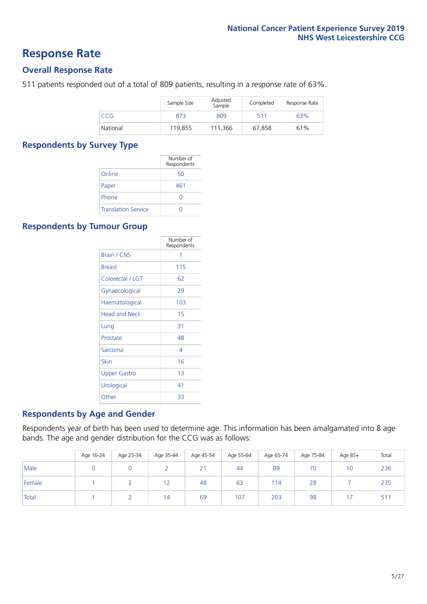### **Response Rate**

#### **Overall Response Rate**

511 patients responded out of a total of 809 patients, resulting in a response rate of 63%.

|          | Sample Size | Adjusted<br>Sample | Completed | Response Rate |
|----------|-------------|--------------------|-----------|---------------|
| CCG      | 873         | 809                | 511       | 63%           |
| National | 119,855     | 111.366            | 67,858    | 61%           |

#### **Respondents by Survey Type**

|                            | Number of<br>Respondents |
|----------------------------|--------------------------|
| Online                     | 50                       |
| Paper                      | 461                      |
| Phone                      |                          |
| <b>Translation Service</b> |                          |

#### **Respondents by Tumour Group**

|                      | Number of<br>Respondents |
|----------------------|--------------------------|
| Brain / CNS          | 1                        |
| <b>Breast</b>        | 115                      |
| Colorectal / LGT     | 62                       |
| Gynaecological       | 29                       |
| Haematological       | 103                      |
| <b>Head and Neck</b> | 15                       |
| Lung                 | 31                       |
| Prostate             | 48                       |
| Sarcoma              | 4                        |
| Skin                 | 16                       |
| Upper Gastro         | 1 <sub>3</sub>           |
| Urological           | 41                       |
| Other                | 33                       |

#### **Respondents by Age and Gender**

Respondents year of birth has been used to determine age. This information has been amalgamated into 8 age bands. The age and gender distribution for the CCG was as follows:

|        | Age 16-24 | Age 25-34 | Age 35-44  | Age 45-54 | Age 55-64 | Age 65-74 | Age 75-84 | Age 85+ | Total |
|--------|-----------|-----------|------------|-----------|-----------|-----------|-----------|---------|-------|
| Male   |           |           |            | 21        | 44        | 89        | 70        | 10      | 236   |
| Female |           |           | $\epsilon$ | 48        | 63        | 114       | 28        |         | 275   |
| Total  |           |           | 14         | 69        | 107       | 203       | 98        |         | 51    |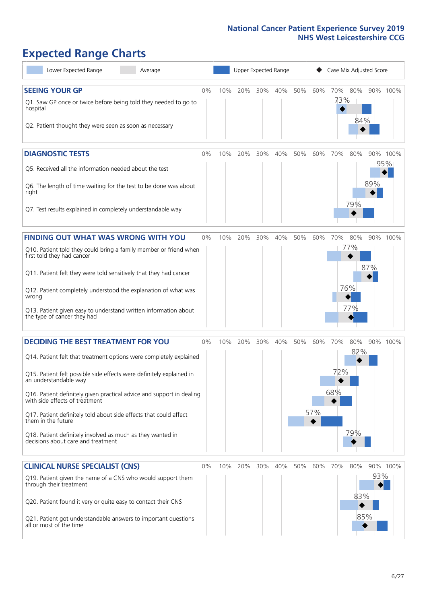# **Expected Range Charts**

| Lower Expected Range<br>Average                                                                         |    |     |     |     | Upper Expected Range |     |     | Case Mix Adjusted Score |     |     |                 |
|---------------------------------------------------------------------------------------------------------|----|-----|-----|-----|----------------------|-----|-----|-------------------------|-----|-----|-----------------|
| <b>SEEING YOUR GP</b>                                                                                   | 0% | 10% | 20% | 30% | 40%                  | 50% | 60% | 70%                     | 80% |     | 90% 100%        |
| Q1. Saw GP once or twice before being told they needed to go to<br>hospital                             |    |     |     |     |                      |     |     | 73%                     | 84% |     |                 |
| Q2. Patient thought they were seen as soon as necessary                                                 |    |     |     |     |                      |     |     |                         |     |     |                 |
| <b>DIAGNOSTIC TESTS</b>                                                                                 | 0% | 10% | 20% | 30% | 40%                  | 50% | 60% | 70%                     | 80% |     | 90% 100%<br>95% |
| O5. Received all the information needed about the test                                                  |    |     |     |     |                      |     |     |                         |     |     |                 |
| Q6. The length of time waiting for the test to be done was about<br>right                               |    |     |     |     |                      |     |     |                         | 79% | 89% |                 |
| Q7. Test results explained in completely understandable way                                             |    |     |     |     |                      |     |     |                         |     |     |                 |
| <b>FINDING OUT WHAT WAS WRONG WITH YOU</b>                                                              | 0% | 10% | 20% | 30% | 40%                  | 50% | 60% | 70%                     | 80% |     | 90% 100%        |
| Q10. Patient told they could bring a family member or friend when<br>first told they had cancer         |    |     |     |     |                      |     |     |                         | 77% |     |                 |
| Q11. Patient felt they were told sensitively that they had cancer                                       |    |     |     |     |                      |     |     |                         |     | 87% |                 |
| Q12. Patient completely understood the explanation of what was<br>wrong                                 |    |     |     |     |                      |     |     |                         | 76% |     |                 |
| Q13. Patient given easy to understand written information about<br>the type of cancer they had          |    |     |     |     |                      |     |     |                         | 77% |     |                 |
| <b>DECIDING THE BEST TREATMENT FOR YOU</b>                                                              | 0% | 10% | 20% | 30% | 40%                  | 50% | 60% | 70%                     | 80% |     | 90% 100%        |
| Q14. Patient felt that treatment options were completely explained                                      |    |     |     |     |                      |     |     |                         | 82% |     |                 |
| Q15. Patient felt possible side effects were definitely explained in<br>an understandable way           |    |     |     |     |                      |     |     | 72%                     |     |     |                 |
| Q16. Patient definitely given practical advice and support in dealing<br>with side effects of treatment |    |     |     |     |                      |     |     | 68%                     |     |     |                 |
| Q17. Patient definitely told about side effects that could affect<br>them in the future                 |    |     |     |     |                      |     | 57% |                         |     |     |                 |
| Q18. Patient definitely involved as much as they wanted in<br>decisions about care and treatment        |    |     |     |     |                      |     |     |                         | 79% |     |                 |
| <b>CLINICAL NURSE SPECIALIST (CNS)</b>                                                                  | 0% | 10% | 20% | 30% | 40%                  | 50% | 60% | 70%                     | 80% |     | 90% 100%        |
| Q19. Patient given the name of a CNS who would support them<br>through their treatment                  |    |     |     |     |                      |     |     |                         | 83% | 93% |                 |
| Q20. Patient found it very or quite easy to contact their CNS                                           |    |     |     |     |                      |     |     |                         |     |     |                 |
| Q21. Patient got understandable answers to important questions<br>all or most of the time               |    |     |     |     |                      |     |     |                         |     | 85% |                 |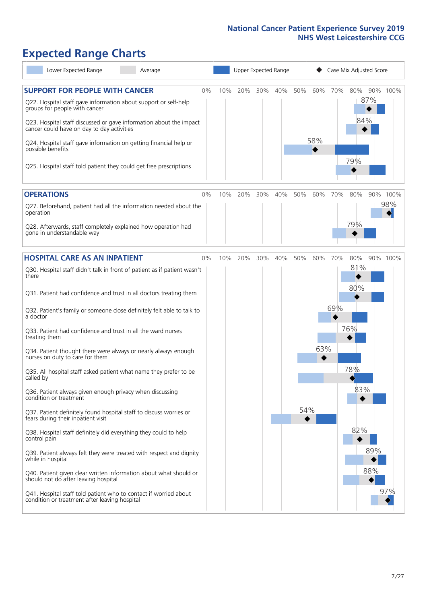# **Expected Range Charts**

| Lower Expected Range<br>Average                                                                                                                                                                                                                                                                                                                                                                                                                                                                                                                                                                                                                                                                                                                                                                                                                                                                                                                                                                                      |       |     |     | Upper Expected Range |     |     |            |     | Case Mix Adjusted Score                     |            |          |
|----------------------------------------------------------------------------------------------------------------------------------------------------------------------------------------------------------------------------------------------------------------------------------------------------------------------------------------------------------------------------------------------------------------------------------------------------------------------------------------------------------------------------------------------------------------------------------------------------------------------------------------------------------------------------------------------------------------------------------------------------------------------------------------------------------------------------------------------------------------------------------------------------------------------------------------------------------------------------------------------------------------------|-------|-----|-----|----------------------|-----|-----|------------|-----|---------------------------------------------|------------|----------|
| <b>SUPPORT FOR PEOPLE WITH CANCER</b><br>Q22. Hospital staff gave information about support or self-help<br>groups for people with cancer<br>Q23. Hospital staff discussed or gave information about the impact<br>cancer could have on day to day activities<br>Q24. Hospital staff gave information on getting financial help or<br>possible benefits<br>Q25. Hospital staff told patient they could get free prescriptions                                                                                                                                                                                                                                                                                                                                                                                                                                                                                                                                                                                        | $0\%$ | 10% | 20% | 30%                  | 40% | 50% | 60%<br>58% | 70% | 80%<br>84%<br>79%                           | 87%        | 90% 100% |
| <b>OPERATIONS</b>                                                                                                                                                                                                                                                                                                                                                                                                                                                                                                                                                                                                                                                                                                                                                                                                                                                                                                                                                                                                    | $0\%$ | 10% | 20% | 30%                  | 40% | 50% | 60%        | 70% | 80%                                         |            | 90% 100% |
| Q27. Beforehand, patient had all the information needed about the<br>operation<br>Q28. Afterwards, staff completely explained how operation had<br>gone in understandable way                                                                                                                                                                                                                                                                                                                                                                                                                                                                                                                                                                                                                                                                                                                                                                                                                                        |       |     |     |                      |     |     |            |     | 79%                                         |            | 98%      |
| <b>HOSPITAL CARE AS AN INPATIENT</b>                                                                                                                                                                                                                                                                                                                                                                                                                                                                                                                                                                                                                                                                                                                                                                                                                                                                                                                                                                                 | $0\%$ | 10% | 20% | 30%                  | 40% | 50% | 60%        | 70% | 80%                                         |            | 90% 100% |
| Q30. Hospital staff didn't talk in front of patient as if patient wasn't<br>there<br>Q31. Patient had confidence and trust in all doctors treating them<br>Q32. Patient's family or someone close definitely felt able to talk to<br>a doctor<br>Q33. Patient had confidence and trust in all the ward nurses<br>treating them<br>Q34. Patient thought there were always or nearly always enough<br>nurses on duty to care for them<br>Q35. All hospital staff asked patient what name they prefer to be<br>called by<br>Q36. Patient always given enough privacy when discussing<br>condition or treatment<br>Q37. Patient definitely found hospital staff to discuss worries or<br>fears during their inpatient visit<br>Q38. Hospital staff definitely did everything they could to help<br>control pain<br>Q39. Patient always felt they were treated with respect and dignity<br>while in hospital<br>Q40. Patient given clear written information about what should or<br>should not do after leaving hospital |       |     |     |                      |     | 54% | 63%        | 69% | 81%<br>◆<br>80%<br>76%<br>78%<br>83%<br>82% | 89%<br>88% |          |
| Q41. Hospital staff told patient who to contact if worried about<br>condition or treatment after leaving hospital                                                                                                                                                                                                                                                                                                                                                                                                                                                                                                                                                                                                                                                                                                                                                                                                                                                                                                    |       |     |     |                      |     |     |            |     |                                             |            | 97%      |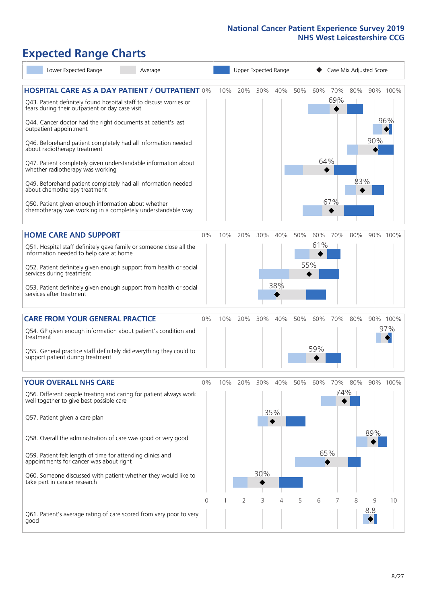# **Expected Range Charts**

| Lower Expected Range<br>Average                                                                                       |    |     |     |     | Upper Expected Range |     |                        |     | Case Mix Adjusted Score |     |          |
|-----------------------------------------------------------------------------------------------------------------------|----|-----|-----|-----|----------------------|-----|------------------------|-----|-------------------------|-----|----------|
| <b>HOSPITAL CARE AS A DAY PATIENT / OUTPATIENT 0%</b>                                                                 |    | 10% | 20% | 30% | 40%                  | 50% | 60%                    | 70% | 80%                     |     | 90% 100% |
| Q43. Patient definitely found hospital staff to discuss worries or<br>fears during their outpatient or day case visit |    |     |     |     |                      |     |                        | 69% |                         |     |          |
| Q44. Cancer doctor had the right documents at patient's last<br>outpatient appointment                                |    |     |     |     |                      |     |                        |     |                         |     | 96%      |
| Q46. Beforehand patient completely had all information needed<br>about radiotherapy treatment                         |    |     |     |     |                      |     |                        |     |                         | 90% |          |
| Q47. Patient completely given understandable information about<br>whether radiotherapy was working                    |    |     |     |     |                      |     | 64%                    |     |                         |     |          |
| Q49. Beforehand patient completely had all information needed<br>about chemotherapy treatment                         |    |     |     |     |                      |     |                        |     | 83%                     |     |          |
| Q50. Patient given enough information about whether<br>chemotherapy was working in a completely understandable way    |    |     |     |     |                      |     |                        | 67% |                         |     |          |
| <b>HOME CARE AND SUPPORT</b>                                                                                          | 0% | 10% | 20% | 30% | 40%                  | 50% | 60%                    | 70% | 80%                     |     | 90% 100% |
| Q51. Hospital staff definitely gave family or someone close all the<br>information needed to help care at home        |    |     |     |     |                      |     | 61%                    |     |                         |     |          |
| Q52. Patient definitely given enough support from health or social<br>services during treatment                       |    |     |     |     |                      |     | 55%                    |     |                         |     |          |
| Q53. Patient definitely given enough support from health or social<br>services after treatment                        |    |     |     |     | 38%                  |     |                        |     |                         |     |          |
| <b>CARE FROM YOUR GENERAL PRACTICE</b>                                                                                | 0% | 10% | 20% | 30% | 40%                  | 50% | 60%                    | 70% | 80%                     |     | 90% 100% |
| Q54. GP given enough information about patient's condition and<br>treatment                                           |    |     |     |     |                      |     |                        |     |                         |     | 97%      |
| Q55. General practice staff definitely did everything they could to<br>support patient during treatment               |    |     |     |     |                      |     | 59%                    |     |                         |     |          |
| <b>YOUR OVERALL NHS CARE</b>                                                                                          | 0% | 10% | 20% | 30% | 40%                  | 50% | 60%                    | 70% | 80%                     |     | 90% 100% |
| Q56. Different people treating and caring for patient always work<br>well together to give best possible care         |    |     |     |     |                      |     |                        |     | 74%                     |     |          |
| Q57. Patient given a care plan                                                                                        |    |     |     |     | 35%                  |     |                        |     |                         |     |          |
| Q58. Overall the administration of care was good or very good                                                         |    |     |     |     |                      |     |                        |     |                         | 89% |          |
| Q59. Patient felt length of time for attending clinics and<br>appointments for cancer was about right                 |    |     |     |     |                      |     | 65%<br>$\blacklozenge$ |     |                         |     |          |
| Q60. Someone discussed with patient whether they would like to<br>take part in cancer research                        |    |     |     | 30% |                      |     |                        |     |                         |     |          |
|                                                                                                                       | 0  |     | 2   | 3   | 4                    | 5   | 6                      |     | 8                       | 9   | 10       |
| Q61. Patient's average rating of care scored from very poor to very<br>good                                           |    |     |     |     |                      |     |                        |     |                         | 8.8 |          |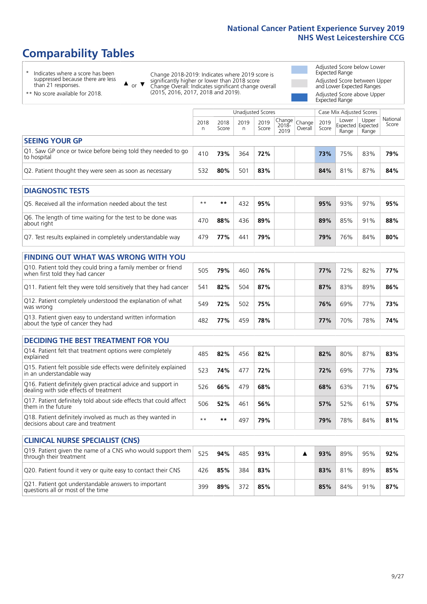# **Comparability Tables**

\* Indicates where a score has been suppressed because there are less than 21 responses.

\*\* No score available for 2018.

 $\triangle$  or  $\nabla$ 

Change 2018-2019: Indicates where 2019 score is significantly higher or lower than 2018 score Change Overall: Indicates significant change overall (2015, 2016, 2017, 2018 and 2019).

Adjusted Score below Lower Expected Range Adjusted Score between Upper and Lower Expected Ranges Adjusted Score above Upper Expected Range

|                                                                             |           |               | <b>Unadjusted Scores</b> |               |                         |                   |               | Case Mix Adjusted Scores            |                |                   |
|-----------------------------------------------------------------------------|-----------|---------------|--------------------------|---------------|-------------------------|-------------------|---------------|-------------------------------------|----------------|-------------------|
|                                                                             | 2018<br>n | 2018<br>Score | 2019<br>n                | 2019<br>Score | Change<br>2018-<br>2019 | Change<br>Overall | 2019<br>Score | Lower<br>Expected Expected<br>Range | Upper<br>Range | National<br>Score |
| <b>SEEING YOUR GP</b>                                                       |           |               |                          |               |                         |                   |               |                                     |                |                   |
| Q1. Saw GP once or twice before being told they needed to go<br>to hospital | 410       | 73%           | 364                      | 72%           |                         |                   | 73%           | 75%                                 | 83%            | 79%               |
| Q2. Patient thought they were seen as soon as necessary                     | 532       | 80%           | 501                      | 83%           |                         |                   | 84%           | 81%                                 | 87%            | 84%               |
| <b>DIAGNOSTIC TESTS</b>                                                     |           |               |                          |               |                         |                   |               |                                     |                |                   |

| <b>UMUNUSIK ILSIS</b>                                                     |      |     |     |     |  |     |     |     |     |
|---------------------------------------------------------------------------|------|-----|-----|-----|--|-----|-----|-----|-----|
| O5. Received all the information needed about the test                    | $**$ | **  | 432 | 95% |  | 95% | 93% | 97% | 95% |
| Q6. The length of time waiting for the test to be done was<br>about right | 470  | 88% | 436 | 89% |  | 89% | 85% | 91% | 88% |
| Q7. Test results explained in completely understandable way               | 479  | 77% | 441 | 79% |  | 79% | 76% | 84% | 80% |

| <b>FINDING OUT WHAT WAS WRONG WITH YOU</b>                                                      |     |     |     |     |            |     |     |     |
|-------------------------------------------------------------------------------------------------|-----|-----|-----|-----|------------|-----|-----|-----|
| Q10. Patient told they could bring a family member or friend<br>when first told they had cancer | 505 | 79% | 460 | 76% | <b>77%</b> | 72% | 82% | 77% |
| Q11. Patient felt they were told sensitively that they had cancer                               | 541 | 82% | 504 | 87% | 87%        | 83% | 89% | 86% |
| Q12. Patient completely understood the explanation of what<br>was wrong                         | 549 | 72% | 502 | 75% | 76%        | 69% | 77% | 73% |
| Q13. Patient given easy to understand written information<br>about the type of cancer they had  | 482 | 77% | 459 | 78% | 77%        | 70% | 78% | 74% |

| DECIDING THE BEST TREATMENT FOR YOU                                                                     |      |     |     |     |  |     |     |     |     |
|---------------------------------------------------------------------------------------------------------|------|-----|-----|-----|--|-----|-----|-----|-----|
| Q14. Patient felt that treatment options were completely<br>explained                                   | 485  | 82% | 456 | 82% |  | 82% | 80% | 87% | 83% |
| Q15. Patient felt possible side effects were definitely explained<br>in an understandable way           | 523  | 74% | 477 | 72% |  | 72% | 69% | 77% | 73% |
| Q16. Patient definitely given practical advice and support in<br>dealing with side effects of treatment | 526  | 66% | 479 | 68% |  | 68% | 63% | 71% | 67% |
| Q17. Patient definitely told about side effects that could affect<br>them in the future                 | 506  | 52% | 461 | 56% |  | 57% | 52% | 61% | 57% |
| Q18. Patient definitely involved as much as they wanted in<br>decisions about care and treatment        | $**$ | **  | 497 | 79% |  | 79% | 78% | 84% | 81% |

| <b>CLINICAL NURSE SPECIALIST (CNS)</b>                                                    |     |     |     |     |  |     |     |     |     |
|-------------------------------------------------------------------------------------------|-----|-----|-----|-----|--|-----|-----|-----|-----|
| Q19. Patient given the name of a CNS who would support them<br>through their treatment    | 525 | 94% | 485 | 93% |  | 93% | 89% | 95% | 92% |
| Q20. Patient found it very or quite easy to contact their CNS                             | 426 | 85% | 384 | 83% |  | 83% | 81% | 89% | 85% |
| Q21. Patient got understandable answers to important<br>questions all or most of the time | 399 | 89% | 372 | 85% |  | 85% | 84% | 91% | 87% |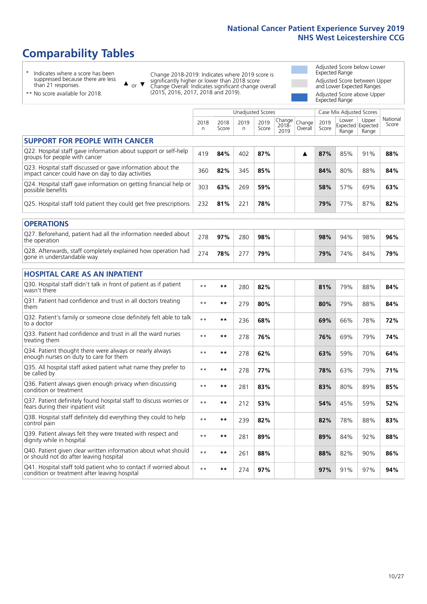# **Comparability Tables**

\* Indicates where a score has been suppressed because there are less than 21 responses.

\*\* No score available for 2018.

 $\triangle$  or  $\nabla$ 

Change 2018-2019: Indicates where 2019 score is significantly higher or lower than 2018 score Change Overall: Indicates significant change overall (2015, 2016, 2017, 2018 and 2019).

Adjusted Score below Lower Expected Range Adjusted Score between Upper and Lower Expected Ranges Adjusted Score above Upper Expected Range

|                                                                                                                   |              |               | <b>Unadjusted Scores</b> |               |                         |                   |               | Case Mix Adjusted Scores            |                |                   |
|-------------------------------------------------------------------------------------------------------------------|--------------|---------------|--------------------------|---------------|-------------------------|-------------------|---------------|-------------------------------------|----------------|-------------------|
|                                                                                                                   | 2018<br>n    | 2018<br>Score | 2019<br>n.               | 2019<br>Score | Change<br>2018-<br>2019 | Change<br>Overall | 2019<br>Score | Lower<br>Expected Expected<br>Range | Upper<br>Range | National<br>Score |
| <b>SUPPORT FOR PEOPLE WITH CANCER</b>                                                                             |              |               |                          |               |                         |                   |               |                                     |                |                   |
| Q22. Hospital staff gave information about support or self-help<br>groups for people with cancer                  | 419          | 84%           | 402                      | 87%           |                         | ▲                 | 87%           | 85%                                 | 91%            | 88%               |
| Q23. Hospital staff discussed or gave information about the<br>impact cancer could have on day to day activities  | 360          | 82%           | 345                      | 85%           |                         |                   | 84%           | 80%                                 | 88%            | 84%               |
| Q24. Hospital staff gave information on getting financial help or<br>possible benefits                            | 303          | 63%           | 269                      | 59%           |                         |                   | 58%           | 57%                                 | 69%            | 63%               |
| Q25. Hospital staff told patient they could get free prescriptions                                                | 232          | 81%           | 221                      | 78%           |                         |                   | 79%           | 77%                                 | 87%            | 82%               |
| <b>OPERATIONS</b>                                                                                                 |              |               |                          |               |                         |                   |               |                                     |                |                   |
| Q27. Beforehand, patient had all the information needed about<br>the operation                                    | 278          | 97%           | 280                      | 98%           |                         |                   | 98%           | 94%                                 | 98%            | 96%               |
| Q28. Afterwards, staff completely explained how operation had<br>gone in understandable way                       | 274          | 78%           | 277                      | 79%           |                         |                   | 79%           | 74%                                 | 84%            | 79%               |
| <b>HOSPITAL CARE AS AN INPATIENT</b>                                                                              |              |               |                          |               |                         |                   |               |                                     |                |                   |
| Q30. Hospital staff didn't talk in front of patient as if patient<br>wasn't there                                 | $* *$        | **            | 280                      | 82%           |                         |                   | 81%           | 79%                                 | 88%            | 84%               |
| Q31. Patient had confidence and trust in all doctors treating<br>them                                             | $**$         | $***$         | 279                      | 80%           |                         |                   | 80%           | 79%                                 | 88%            | 84%               |
| Q32. Patient's family or someone close definitely felt able to talk<br>to a doctor                                | $* *$        | **            | 236                      | 68%           |                         |                   | 69%           | 66%                                 | 78%            | 72%               |
| O33. Patient had confidence and trust in all the ward nurses<br>treating them                                     | $**$         | **            | 278                      | 76%           |                         |                   | 76%           | 69%                                 | 79%            | 74%               |
| Q34. Patient thought there were always or nearly always<br>enough nurses on duty to care for them                 | $* *$        | **            | 278                      | 62%           |                         |                   | 63%           | 59%                                 | 70%            | 64%               |
| Q35. All hospital staff asked patient what name they prefer to<br>be called by                                    | $* *$        | **            | 278                      | 77%           |                         |                   | 78%           | 63%                                 | 79%            | 71%               |
| Q36. Patient always given enough privacy when discussing<br>condition or treatment                                | $**$         | $***$         | 281                      | 83%           |                         |                   | 83%           | 80%                                 | 89%            | 85%               |
| Q37. Patient definitely found hospital staff to discuss worries or<br>fears during their inpatient visit          | $**$         | **            | 212                      | 53%           |                         |                   | 54%           | 45%                                 | 59%            | 52%               |
| Q38. Hospital staff definitely did everything they could to help<br>control pain                                  | $\star\star$ | $***$         | 239                      | 82%           |                         |                   | 82%           | 78%                                 | 88%            | 83%               |
| Q39. Patient always felt they were treated with respect and<br>dignity while in hospital                          | $***$        | **            | 281                      | 89%           |                         |                   | 89%           | 84%                                 | 92%            | 88%               |
| Q40. Patient given clear written information about what should<br>or should not do after leaving hospital         | $**$         | **            | 261                      | 88%           |                         |                   | 88%           | 82%                                 | 90%            | 86%               |
| Q41. Hospital staff told patient who to contact if worried about<br>condition or treatment after leaving hospital | $**$         | **            | 274                      | 97%           |                         |                   | 97%           | 91%                                 | 97%            | 94%               |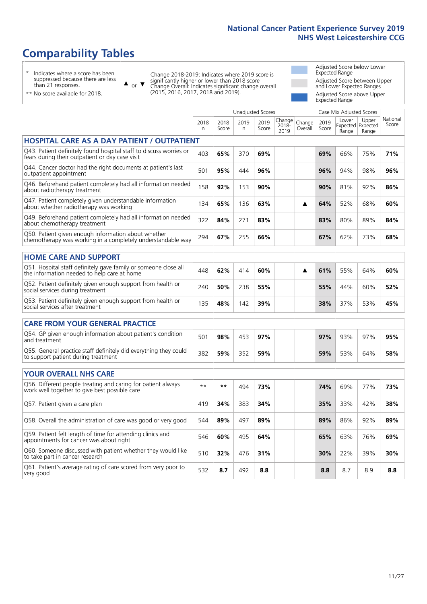# **Comparability Tables**

\* Indicates where a score has been suppressed because there are less than 21 responses.

\*\* No score available for 2018.

or  $\blacktriangledown$  $\blacktriangle$ 

Change 2018-2019: Indicates where 2019 score is significantly higher or lower than 2018 score Change Overall: Indicates significant change overall (2015, 2016, 2017, 2018 and 2019).

Adjusted Score below Lower Expected Range Adjusted Score between Upper and Lower Expected Ranges Adjusted Score above Upper Expected Range

|                                                                                                                       |              |               |           | <b>Unadjusted Scores</b> |                         |                   |               | Case Mix Adjusted Scores |                                     |                   |
|-----------------------------------------------------------------------------------------------------------------------|--------------|---------------|-----------|--------------------------|-------------------------|-------------------|---------------|--------------------------|-------------------------------------|-------------------|
|                                                                                                                       | 2018<br>n    | 2018<br>Score | 2019<br>n | 2019<br>Score            | Change<br>2018-<br>2019 | Change<br>Overall | 2019<br>Score | Lower<br>Range           | Upper<br>Expected Expected<br>Range | National<br>Score |
| <b>HOSPITAL CARE AS A DAY PATIENT / OUTPATIENT</b>                                                                    |              |               |           |                          |                         |                   |               |                          |                                     |                   |
| Q43. Patient definitely found hospital staff to discuss worries or<br>fears during their outpatient or day case visit | 403          | 65%           | 370       | 69%                      |                         |                   | 69%           | 66%                      | 75%                                 | 71%               |
| Q44. Cancer doctor had the right documents at patient's last<br>outpatient appointment                                | 501          | 95%           | 444       | 96%                      |                         |                   | 96%           | 94%                      | 98%                                 | 96%               |
| Q46. Beforehand patient completely had all information needed<br>about radiotherapy treatment                         | 158          | 92%           | 153       | 90%                      |                         |                   | 90%           | 81%                      | 92%                                 | 86%               |
| Q47. Patient completely given understandable information<br>about whether radiotherapy was working                    | 134          | 65%           | 136       | 63%                      |                         | ▲                 | 64%           | 52%                      | 68%                                 | 60%               |
| Q49. Beforehand patient completely had all information needed<br>about chemotherapy treatment                         | 322          | 84%           | 271       | 83%                      |                         |                   | 83%           | 80%                      | 89%                                 | 84%               |
| Q50. Patient given enough information about whether<br>chemotherapy was working in a completely understandable way    | 294          | 67%           | 255       | 66%                      |                         |                   | 67%           | 62%                      | 73%                                 | 68%               |
| <b>HOME CARE AND SUPPORT</b>                                                                                          |              |               |           |                          |                         |                   |               |                          |                                     |                   |
| Q51. Hospital staff definitely gave family or someone close all<br>the information needed to help care at home        | 448          | 62%           | 414       | 60%                      |                         | ▲                 | 61%           | 55%                      | 64%                                 | 60%               |
| Q52. Patient definitely given enough support from health or<br>social services during treatment                       | 240          | 50%           | 238       | 55%                      |                         |                   | 55%           | 44%                      | 60%                                 | 52%               |
| Q53. Patient definitely given enough support from health or<br>social services after treatment                        | 135          | 48%           | 142       | 39%                      |                         |                   | 38%           | 37%                      | 53%                                 | 45%               |
| <b>CARE FROM YOUR GENERAL PRACTICE</b>                                                                                |              |               |           |                          |                         |                   |               |                          |                                     |                   |
| Q54. GP given enough information about patient's condition<br>and treatment                                           | 501          | 98%           | 453       | 97%                      |                         |                   | 97%           | 93%                      | 97%                                 | 95%               |
| Q55. General practice staff definitely did everything they could<br>to support patient during treatment               | 382          | 59%           | 352       | 59%                      |                         |                   | 59%           | 53%                      | 64%                                 | 58%               |
| <b>YOUR OVERALL NHS CARE</b>                                                                                          |              |               |           |                          |                         |                   |               |                          |                                     |                   |
| Q56. Different people treating and caring for patient always                                                          |              |               |           |                          |                         |                   |               |                          |                                     |                   |
| work well together to give best possible care                                                                         | $\star\star$ | $***$         | 494       | 73%                      |                         |                   | 74%           | 69%                      | 77%                                 | 73%               |
| Q57. Patient given a care plan                                                                                        | 419          | 34%           | 383       | 34%                      |                         |                   | 35%           | 33%                      | 42%                                 | 38%               |
| Q58. Overall the administration of care was good or very good                                                         | 544          | 89%           | 497       | 89%                      |                         |                   | 89%           | 86%                      | 92%                                 | 89%               |
| Q59. Patient felt length of time for attending clinics and<br>appointments for cancer was about right                 | 546          | 60%           | 495       | 64%                      |                         |                   | 65%           | 63%                      | 76%                                 | 69%               |
| Q60. Someone discussed with patient whether they would like<br>to take part in cancer research                        | 510          | 32%           | 476       | 31%                      |                         |                   | 30%           | 22%                      | 39%                                 | 30%               |
| Q61. Patient's average rating of care scored from very poor to<br>very good                                           | 532          | 8.7           | 492       | 8.8                      |                         |                   | 8.8           | 8.7                      | 8.9                                 | 8.8               |
|                                                                                                                       |              |               |           |                          |                         |                   |               |                          |                                     |                   |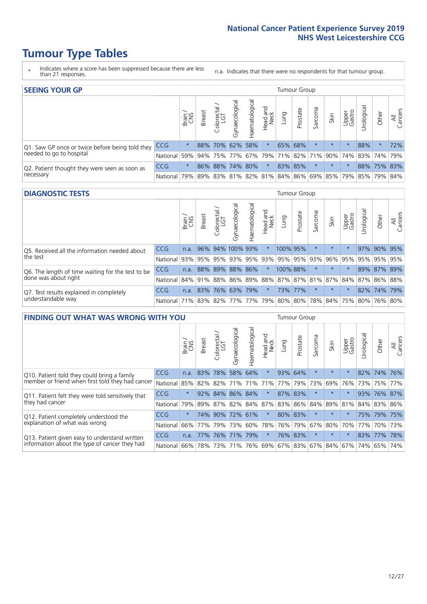- \* Indicates where a score has been suppressed because there are less than 21 responses.
- n.a. Indicates that there were no respondents for that tumour group.

| <b>SEEING YOUR GP</b>                           |            |          |               |                             |                    |                |                  |      | Tumour Group |         |         |                 |                                                     |             |                |
|-------------------------------------------------|------------|----------|---------------|-----------------------------|--------------------|----------------|------------------|------|--------------|---------|---------|-----------------|-----------------------------------------------------|-------------|----------------|
|                                                 |            | Brain    | <b>Breast</b> | Colorectal<br>LGT           | ᠊ᢛ<br>Gynaecologic | Haematological | Head and<br>Neck | Lung | Prostate     | Sarcoma | Skin    | Upper<br>Gastro | $\sigma$<br>Jrologica                               | Other       | All<br>Cancers |
| Q1. Saw GP once or twice before being told they | <b>CCG</b> | $^\star$ |               | 88% 70%                     |                    | 62% 58%        | $\star$          |      | 65% 68%      |         | $\star$ | $\star$         | 88%                                                 | $\star$     | 72%            |
| needed to go to hospital                        | National   | 59%      |               | 94% 75% 77% 67% 79% 71% 82% |                    |                |                  |      |              |         |         |                 | 71% 90% 74% 83% 74% 79%                             |             |                |
| Q2. Patient thought they were seen as soon as   | <b>CCG</b> | $\star$  |               | 86% 88% 74% 80%             |                    |                | $\star$          |      | 83% 85%      |         | $\star$ |                 |                                                     | 88% 75% 83% |                |
| necessary                                       | National   | 79%      |               |                             |                    |                |                  |      |              |         |         |                 | 89% 83% 81% 82% 81% 84% 86% 69% 85% 79% 85% 79% 84% |             |                |

#### **DIAGNOSTIC TESTS** Tumour Group

|                                                   |                                                                  | Brain | <b>Breast</b> | olorectal<br>LGT<br>Ü | $\overline{\sigma}$<br>Gynaecologic | Haematologica | Head and<br>Neck | <b>Dung</b>         | Prostate | Sarcoma | Skin     | Upper<br>Gastro | Irological                                              | Other       | All<br>Cancers |
|---------------------------------------------------|------------------------------------------------------------------|-------|---------------|-----------------------|-------------------------------------|---------------|------------------|---------------------|----------|---------|----------|-----------------|---------------------------------------------------------|-------------|----------------|
| Q5. Received all the information needed about     | CCG                                                              | n.a.  |               |                       | 96% 94% 100% 93%                    |               | $\star$          | 100% 95%            |          |         | $\star$  | $\star$         |                                                         | 97% 90% 95% |                |
| the test                                          | National                                                         | 93%   |               | 95% 95%               |                                     |               |                  | 93% 95% 93% 95% 95% |          | 93%     | $ 96\% $ |                 | 95% 95% 95% 95%                                         |             |                |
| Q6. The length of time waiting for the test to be | <b>CCG</b>                                                       | n.a.  |               | 88% 89%               |                                     | 88% 86%       | $\star$          | 100% 88%            |          |         | $\star$  | $\star$         |                                                         | 89% 87% 89% |                |
| done was about right                              | National                                                         |       |               |                       |                                     |               |                  |                     |          |         |          |                 | 84% 91% 88% 86% 89% 88% 87% 87% 81% 87% 84% 87% 86% 88% |             |                |
| Q7. Test results explained in completely          | <b>CCG</b>                                                       | n.a.  |               |                       | 83% 76% 63% 79%                     |               | $\star$          |                     | 73% 77%  |         | $\star$  |                 |                                                         | 82% 74% 79% |                |
| understandable way                                | National 71% 83% 82% 77% 77% 79% 80% 80% 78% 84% 75% 80% 76% 80% |       |               |                       |                                     |               |                  |                     |          |         |          |                 |                                                         |             |                |

| <b>FINDING OUT WHAT WAS WRONG WITH YOU</b>        |            |         |               |                             |                     |                   |                  |             | <b>Tumour Group</b> |         |         |                                   |            |         |                |
|---------------------------------------------------|------------|---------|---------------|-----------------------------|---------------------|-------------------|------------------|-------------|---------------------|---------|---------|-----------------------------------|------------|---------|----------------|
|                                                   |            | Brain   | <b>Breast</b> | ╮<br>olorectal.<br>LGT<br>Ü | Gynaecological      | aematologica<br>Ĩ | Head and<br>Neck | Lung        | Prostate            | Sarcoma | Skin    | Upper<br>Gastro                   | Urological | Other   | All<br>Cancers |
| Q10. Patient told they could bring a family       | <b>CCG</b> | n.a.    | 83%           | 78%                         | 58%                 | 64%               | $\star$          | 93% 64%     |                     | $\ast$  | $\star$ | $\star$                           |            | 82% 74% | 76%            |
| member or friend when first told they had cancer  | National   | 85%     | 82%           | 82%                         | 71%                 | 71%               | 71%              | 77%         | 79%                 | 73%     | 69%     | 76%                               | 73%        | 75%     | 77%            |
| Q11. Patient felt they were told sensitively that | <b>CCG</b> | $\star$ |               | 92% 84%                     | 86% 84%             |                   | $\ast$           | 87% 83%     |                     | $\ast$  | $\star$ | $\star$                           | 93%        | 76%     | 87%            |
| they had cancer                                   | National   | 79%     |               |                             | 89% 87% 82% 84% 87% |                   |                  | 83% 86% 84% |                     |         | 89% 81% |                                   |            | 84% 83% | 86%            |
| Q12. Patient completely understood the            | <b>CCG</b> | $\star$ | 74%           | 90%                         | 72%                 | 61%               | $\star$          | 80% 83%     |                     | $\ast$  | $\star$ |                                   | 75%        | 79%     | 75%            |
| explanation of what was wrong                     | National   | 66%     | 77%           | 79%                         | 73%                 | 60%               |                  | 78% 76% 79% |                     | 67%     | 80%     | 70%                               | 77%        |         | 70% 73%        |
| Q13. Patient given easy to understand written     | <b>CCG</b> | n.a.    | 77%           | 76%                         | 71%                 | 79%               | $\star$          | 76% 83%     |                     | $\ast$  | $\star$ | $\star$                           |            | 83% 77% | 78%            |
| information about the type of cancer they had     | National   | 66%     | 78%           | 73%                         | 71%                 | 76%               |                  |             |                     |         |         | 69%   67%   83%   67%   84%   67% | 74%        | 65%     | 74%            |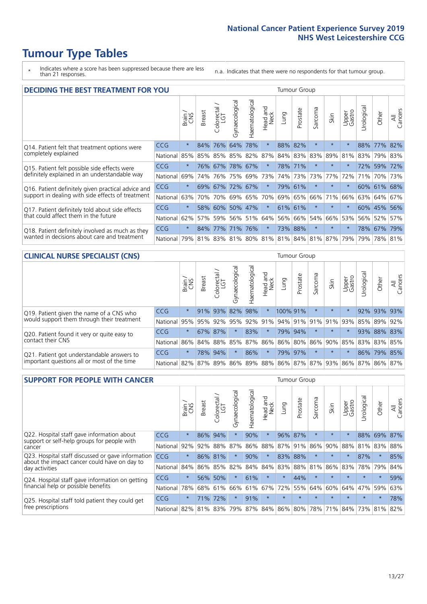\* Indicates where a score has been suppressed because there are less than 21 responses.

n.a. Indicates that there were no respondents for that tumour group.

| <b>DECIDING THE BEST TREATMENT FOR YOU</b>         |            |         |               |                       |                |                |                        |      | <b>Tumour Group</b> |          |                                     |                 |            |             |                |
|----------------------------------------------------|------------|---------|---------------|-----------------------|----------------|----------------|------------------------|------|---------------------|----------|-------------------------------------|-----------------|------------|-------------|----------------|
|                                                    |            | Brain   | <b>Breast</b> | olorectal<br>LGT<br>Ũ | Gynaecological | Haematological | ad and<br>Neck<br>Head | Lung | Prostate            | Sarcoma  | Skin                                | Upper<br>Gastro | Jrological | Other       | All<br>Cancers |
| Q14. Patient felt that treatment options were      | CCG        | $\star$ | 84%           | 76%                   | 64%            | 78%            | $\star$                | 88%  | 82%                 | $\star$  |                                     | $\star$         | 88%        | $77\%$      | 82%            |
| completely explained                               | National   | 85%     | 85%           | 85%                   |                | 85% 82%        | 87%                    |      | 84% 83%             | 83%      | 89%                                 | 81%             | 83%        | 79% 83%     |                |
| Q15. Patient felt possible side effects were       | <b>CCG</b> | $\star$ | 76%           | 67%                   | 78%            | 67%            | $\star$                |      | 78% 71%             | $\star$  | $\star$                             | $\star$         |            | 72% 59%     | 172%           |
| definitely explained in an understandable way      | National   | 69%     | 74%           | 76%                   | 75%            | 69%            | 73%                    |      | 74% 73%             | 73%      | 77%                                 | 72%             | 71%        | 70%         | 73%            |
| Q16. Patient definitely given practical advice and | <b>CCG</b> | $\star$ | 69%           | 67%                   | 72%            | 67%            | $\star$                |      | 79% 61%             | $\star$  | $\star$                             | $\star$         |            | 60% 61% 68% |                |
| support in dealing with side effects of treatment  | National   | 63%     | 70%           | 70%                   |                | 69% 65%        | 70%                    |      | 69% 65%             | 66%      | 71%                                 | 66%             |            | 63% 64%     | 67%            |
| Q17. Patient definitely told about side effects    | <b>CCG</b> | $\star$ | 58%           | 60%                   |                | 50% 47%        | $\star$                |      | 61% 61%             | $^\star$ | $\star$                             | $\star$         |            | 60% 45%     | 56%            |
| that could affect them in the future               | National   | 62%     | 57%           | 59%                   |                | 56% 51%        | 64%                    |      | 56% 66%             | 54%      | 66%                                 | 53%             |            | 56% 52%     | 57%            |
| Q18. Patient definitely involved as much as they   | <b>CCG</b> | $\star$ | 84%           | 77%                   | 71% 76%        |                | $\ast$                 |      | 73% 88%             | $\star$  | $\star$                             | $\star$         |            | 78% 67% 79% |                |
| wanted in decisions about care and treatment       | National   | 79%     |               |                       |                |                |                        |      |                     |          | 81% 83% 81% 80% 81% 81% 84% 81% 87% | 79%             | 79%        | 78% 81%     |                |

#### **CLINICAL NURSE SPECIALIST (CNS)** Tumour Group

|                                             |                  | Brain   | <b>Breast</b> | olorectal<br>LGT<br>Û | त्त<br>aecologic<br>ĞĨ | ক<br>aematologic<br>Í | Head and<br>Neck | Lung     | Prostate | Sarcoma | Skin                        | Upper<br>Gastro             | $\overline{\sigma}$<br>rologica | Other       | All<br>Cancers |
|---------------------------------------------|------------------|---------|---------------|-----------------------|------------------------|-----------------------|------------------|----------|----------|---------|-----------------------------|-----------------------------|---------------------------------|-------------|----------------|
| Q19. Patient given the name of a CNS who    | <b>CCG</b>       | $\star$ |               | 91% 93%               | 82%                    | 98%                   | $\star$          | 100% 91% |          | $\star$ | $\star$                     |                             |                                 | 92% 93%     | 93%            |
| would support them through their treatment  | National         | 95%     | 95%           | 92%                   | 95%                    |                       |                  |          |          |         | 92% 91% 94% 91% 91% 91% 93% |                             | 85%                             | 89%         | 92%            |
| Q20. Patient found it very or quite easy to | <b>CCG</b>       | $\star$ |               | 67% 87%               |                        | 83%                   | $\ast$           |          | 79% 94%  |         | $\star$                     | $\star$                     |                                 | 93% 88% 83% |                |
| contact their CNS                           | National         |         | 86% 84% 88%   |                       | 85%                    | 87%                   | 86%              |          |          |         |                             | 86% 80% 86% 90% 85%         |                                 | 83% 83%     | 85%            |
| Q21. Patient got understandable answers to  | CCG              | $\star$ | 78%           | 94%                   |                        | 86%                   | $\star$          |          | 79% 97%  | $\star$ | $\star$                     | $\star$                     |                                 | 86% 79% 85% |                |
| important questions all or most of the time | National 82% 87% |         |               | 89%                   | 86%                    |                       |                  |          |          |         |                             | 89% 88% 86% 87% 87% 93% 86% | 87%                             |             | 86% 87%        |

| <b>SUPPORT FOR PEOPLE WITH CANCER</b>                                                             |            |         |               |                             |                |                |                        |         | Tumour Group |         |         |                 |            |         |                |
|---------------------------------------------------------------------------------------------------|------------|---------|---------------|-----------------------------|----------------|----------------|------------------------|---------|--------------|---------|---------|-----------------|------------|---------|----------------|
|                                                                                                   |            | Brain   | <b>Breast</b> | ╮<br>olorectal.<br>LGT<br>Ũ | Gynaecological | Haematological | ad and<br>Neck<br>Head | Lung    | Prostate     | Sarcoma | Skin    | Upper<br>Gastro | Jrological | Other   | All<br>Cancers |
| Q22. Hospital staff gave information about<br>support or self-help groups for people with         | <b>CCG</b> | $\star$ | 86%           | 94%                         | $\star$        | 90%            | $\ast$                 | 96%     | 87%          | $\star$ | $\star$ | $\star$         | 88%        | 69%     | 87%            |
| cancer                                                                                            | National   | 92%     | 92%           | 88%                         | 87%            | 86%            | 88%                    | 87%     | 91%          | 86%     | 90%     | 88%             | 81%        | 83%     | 88%            |
| Q23. Hospital staff discussed or gave information<br>about the impact cancer could have on day to | <b>CCG</b> | $\star$ |               | 86% 81%                     | $\star$        | 90%            | $\star$                | 83%     | 88%          | $\star$ | $\star$ | $\star$         | 87%        | $\ast$  | 85%            |
| day activities                                                                                    | National   | 84%     | 86%           | 85%                         | 82%            | 84%            | 84%                    | 83%     | 88%          | 81%     | 86%     | 83%             | 78%        | 79%     | 84%            |
| Q24. Hospital staff gave information on getting                                                   | CCG        | $\star$ |               | 56% 50%                     | $\star$        | 61%            | $\ast$                 | $\star$ | 44%          | $\star$ | $\star$ | $\star$         | $\star$    | $\star$ | 59%            |
| financial help or possible benefits                                                               | National   | 78%     |               | 68% 61%                     | 66%            | 61%            | 67%                    | 72%     | 55%          | 64%     | 60%     | 64%             | 47%        | 59%     | 63%            |
| Q25. Hospital staff told patient they could get                                                   | <b>CCG</b> | $\star$ | 71%           | 72%                         | $\star$        | 91%            | $\star$                | $\star$ | $\star$      | $\star$ |         | $\star$         | $\star$    | $\star$ | 78%            |
| free prescriptions                                                                                | National   | 82%     |               | 81% 83%                     | 79%            |                | 87% 84% 86% 80%        |         |              | 78%     | 71%     | 84%             | 73%        | 81%     | 82%            |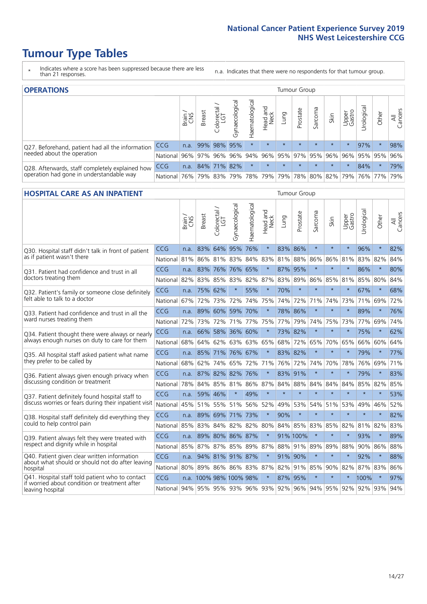- \* Indicates where a score has been suppressed because there are less than 21 responses.
- n.a. Indicates that there were no respondents for that tumour group.

| <b>OPERATIONS</b>                                |              |               |               |             |                |                |                                         |         | Tumour Group |         |         |                 |                |         |                |
|--------------------------------------------------|--------------|---------------|---------------|-------------|----------------|----------------|-----------------------------------------|---------|--------------|---------|---------|-----------------|----------------|---------|----------------|
|                                                  |              | Brain.<br>CNS | <b>Breast</b> | Colorectal  | Gynaecological | Haematological | Head and<br>Neck                        | Lung    | Prostate     | Sarcoma | Skin    | Upper<br>Gastro | σ<br>Jrologica | Other   | All<br>Cancers |
| Q27. Beforehand, patient had all the information | <b>CCG</b>   | n.a.          |               | 99% 98%     | 95%            |                | $\star$                                 | $\star$ | $\star$      | $\star$ | $\star$ | $\star$         | 97%            | $\star$ | 98%            |
| needed about the operation                       | National I   | 96%           |               | 97% 96%     |                |                | 96% 94% 96% 95% 97% 95% 96%             |         |              |         |         | 96%             |                | 95% 95% | 96%            |
| Q28. Afterwards, staff completely explained how  | <b>CCG</b>   | n.a.          |               | 84% 71% 82% |                | $\star$        | $\star$                                 | $\star$ | $\star$      | $\star$ | $\star$ | $\star$         | 84%            | $\star$ | 79%            |
| operation had gone in understandable way         | National 76% |               |               |             |                |                | 79% 83% 79% 78% 79% 79% 78% 80% 82% 79% |         |              |         |         |                 |                | 76% 77% | 79%            |

#### **HOSPITAL CARE AS AN INPATIENT** Tumour Group

|                                                                                                  |            | Brain | Breast                 | Colorectal /<br>LGT | Gynaecological  | Haematological | Head and<br>Neck | Lung        | Prostate    | Sarcoma | Skin    | Upper<br>Gastro | Urological                      | Other   | All<br>Cancers |
|--------------------------------------------------------------------------------------------------|------------|-------|------------------------|---------------------|-----------------|----------------|------------------|-------------|-------------|---------|---------|-----------------|---------------------------------|---------|----------------|
| Q30. Hospital staff didn't talk in front of patient                                              | CCG        | n.a.  | 83%                    | 64%                 | 95%             | 76%            | $\star$          | 83%         | 86%         | $\star$ | $\star$ | $\star$         | 96%                             | $\star$ | 82%            |
| as if patient wasn't there                                                                       | National   | 81%   | 86%                    | 81%                 | 83%             | 84%            | 83%              | 81%         | 88%         | 86%     | 86%     | 81%             | 83%                             | 82%     | 84%            |
| Q31. Patient had confidence and trust in all                                                     | CCG        | n.a.  | 83%                    | 76%                 | 76% 65%         |                | $\star$          | 87%         | 95%         | $\star$ | $\star$ | $\star$         | 86%                             | $\star$ | 80%            |
| doctors treating them                                                                            | National   | 82%   |                        | 83% 85%             | 83%             | 82%            |                  | 87% 83% 89% |             | 86%     | 85%     | 81%             | 85%                             | 80%     | 84%            |
| Q32. Patient's family or someone close definitely                                                | CCG        | n.a.  | 75%                    | 62%                 | $\star$         | 55%            | $\star$          | 70%         | $\star$     | $\star$ | $\star$ | $\star$         | 67%                             | $\star$ | 68%            |
| felt able to talk to a doctor                                                                    | National   | 67%   | 72%                    | 73%                 | 72%             | 74%            | 75%              | 74%         | 72%         | 71%     | 74%     | 73%             | 71%                             | 69%     | 72%            |
| Q33. Patient had confidence and trust in all the                                                 | CCG        | n.a.  |                        | 89% 60%             |                 | 59% 70%        | $\star$          |             | 78% 86%     | $\star$ | $\star$ | $\star$         | 89%                             | $\star$ | 76%            |
| ward nurses treating them                                                                        | National   | 72%   | 73%                    | 72%                 |                 | 71% 77%        | 75%              | 77%         | 79%         | 74%     | 75%     | 73%             | 77%                             | 69%     | 74%            |
| Q34. Patient thought there were always or nearly                                                 | CCG        | n.a.  | 66%                    | 58%                 | 36%             | 60%            | $\star$          | 73%         | 82%         | $\star$ | $\star$ | $\star$         | 75%                             | $\star$ | 62%            |
| always enough nurses on duty to care for them                                                    | National   | 68%   | 64%                    | 62%                 | 63%             | 63%            | 65%              | 68%         | 72%         | 65%     | 70%     | 65%             | 66%                             | 60%     | 64%            |
| Q35. All hospital staff asked patient what name                                                  | CCG        | n.a.  |                        |                     | 85% 71% 76% 67% |                | $\star$          |             | 83% 82%     | $\star$ | $\star$ | $\star$         | 79%                             | $\star$ | 77%            |
| they prefer to be called by                                                                      | National   | 68%   | 62%                    | 74%                 | 65% 72%         |                | 71%              | 76%         | 72%         | 74%     | 70%     | 78%             | 76%                             | 69%     | 71%            |
| Q36. Patient always given enough privacy when                                                    | CCG        | n.a.  |                        | 87% 82% 82%         |                 | 76%            | $\star$          | 83%         | 91%         | $\star$ | $\star$ | $\star$         | 79%                             | $\star$ | 83%            |
| discussing condition or treatment                                                                | National   | 78%   |                        | 84% 85%             | 81% 86%         |                |                  | 87% 84%     | 88%         | 84%     | 84%     | 84%             | 85%                             | 82%     | 85%            |
| Q37. Patient definitely found hospital staff to                                                  | <b>CCG</b> | n.a.  | 59%                    | 46%                 | $\star$         | 49%            | $\star$          | $\star$     | $\star$     | $\star$ | $\star$ | $\star$         | $\star$                         | $\star$ | 53%            |
| discuss worries or fears during their inpatient visit                                            | National   | 45%   |                        |                     | 51% 55% 51% 56% |                | 52%              | 49%         | 53%         | 54%     | 51%     | 53%             | 49%                             | 46%     | 52%            |
| Q38. Hospital staff definitely did everything they                                               | CCG        | n.a.  |                        | 89% 69% 71%         |                 | 173%           | $\star$          | 90%         | $\star$     | $\star$ | $\star$ | $\star$         | $\star$                         | $\star$ | 82%            |
| could to help control pain                                                                       | National   | 85%   | 83%                    | 84%                 |                 | 82% 82%        | 80%              | 84%         | 85%         | 83%     | 85%     | 82%             | 81%                             | 82%     | 83%            |
| Q39. Patient always felt they were treated with                                                  | CCG        | n.a.  | 89%                    |                     | 80% 86% 87%     |                | $\star$          |             | 91% 100%    | $\star$ | $\star$ |                 | 93%                             | $\star$ | 89%            |
| respect and dignity while in hospital                                                            | National   | 85%   | 87%                    | 87%                 |                 | 85% 89%        | 87%              |             | 88% 91% 89% |         | 89%     | 88%             | 90%                             | 86%     | 88%            |
| Q40. Patient given clear written information<br>about what should or should not do after leaving | CCG        | n.a.  |                        |                     | 94% 81% 91% 87% |                | $\star$          | 91% 90%     |             | $\star$ | $\star$ | $\star$         | 92%                             | $\star$ | 88%            |
| hospital                                                                                         | National   | 80%   | 89%                    |                     | 86% 86% 83%     |                | 87%              | 82%         | 91%         | 85%     |         | 90% 82%         | 87%                             | 83%     | 86%            |
| Q41. Hospital staff told patient who to contact<br>if worried about condition or treatment after | <b>CCG</b> |       | n.a. 100% 98% 100% 98% |                     |                 |                | $\star$          | 87%         | 95%         | $\star$ | $\star$ |                 | 100%                            | $\star$ | 97%            |
| leaving hospital                                                                                 | National   |       | 94% 95% 95% 93% 96%    |                     |                 |                |                  |             |             |         |         |                 | 93% 92% 96% 94% 95% 92% 92% 93% |         | 94%            |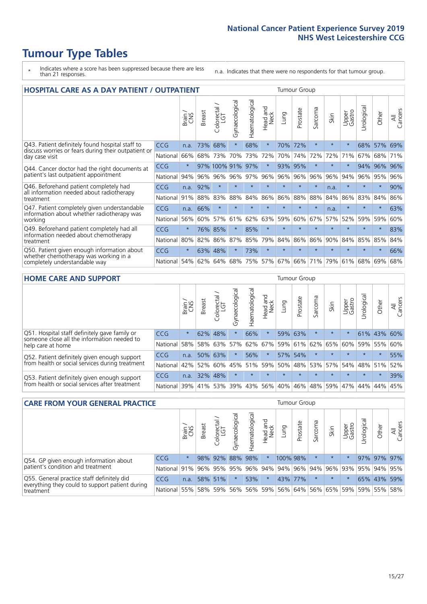- \* Indicates where a score has been suppressed because there are less than 21 responses.
- n.a. Indicates that there were no respondents for that tumour group.

| <b>HOSPITAL CARE AS A DAY PATIENT / OUTPATIENT</b>                                                                    |            |         |               |                            |                |                |                         |         | <b>Tumour Group</b> |         |         |                 |            |         |                |  |  |  |  |  |  |  |  |
|-----------------------------------------------------------------------------------------------------------------------|------------|---------|---------------|----------------------------|----------------|----------------|-------------------------|---------|---------------------|---------|---------|-----------------|------------|---------|----------------|--|--|--|--|--|--|--|--|
|                                                                                                                       |            | Brain   | <b>Breast</b> | ╮<br>olorectal<br>LGT<br>Ũ | Gynaecological | Haematological | ead and<br>Neck<br>Head | Lung    | Prostate            | Sarcoma | Skin    | Upper<br>Gastro | Urological | Other   | All<br>Cancers |  |  |  |  |  |  |  |  |
| Q43. Patient definitely found hospital staff to                                                                       | CCG        | n.a.    | 73%           | 68%                        | $\star$        | 68%            | $\star$                 | 70%     | 72%                 | $\star$ | $\star$ | $\star$         | 68%        | 57%     | 69%            |  |  |  |  |  |  |  |  |
| discuss worries or fears during their outpatient or<br>day case visit                                                 | National   | 66%     | 68%           | 73%                        | 70%            | 73%            | 72%                     | 70%     | 74%                 | 72%     | 72%     | 71%             | 67%        | 68%     | 71%            |  |  |  |  |  |  |  |  |
| Q44. Cancer doctor had the right documents at<br>patient's last outpatient appointment                                | <b>CCG</b> | $\star$ |               | 97% 100% 91%               |                | 97%            | $\star$                 | 93%     | 95%                 | $\ast$  |         |                 | 94%        | 96%     | 96%            |  |  |  |  |  |  |  |  |
|                                                                                                                       | National   | 94%     | 96%           | 96%                        | 96%            | 97%            | 96%                     | 96%     | 96%                 | 96%     | 96%     | 94%             | 96%        | 95%     | 96%            |  |  |  |  |  |  |  |  |
| Q46. Beforehand patient completely had                                                                                | CCG        | n.a.    | 92%           | $\star$                    |                | $\star$        | $\star$                 | $\star$ | $\star$             | $\star$ | n.a.    | $\star$         | $\star$    | $\star$ | 90%            |  |  |  |  |  |  |  |  |
| all information needed about radiotherapy<br>treatment                                                                | National   | 91%     | 88%           | 83%                        | 88%            | 84%            | 86%                     | 86%     | 88%                 | 88%     | 84%     | 86%             | 83%        | 84%     | 86%            |  |  |  |  |  |  |  |  |
| Q47. Patient completely given understandable<br>information about whether radiotherapy was<br>working                 | <b>CCG</b> | n.a.    | 66%           | $\star$                    |                |                | $\star$                 | $\star$ | $\star$             | $\star$ | n.a.    | $\star$         | $\star$    | $\star$ | 63%            |  |  |  |  |  |  |  |  |
|                                                                                                                       | National   | 56%     | 60%           | 57%                        | 61%            | 62%            | 63%                     | 59%     | 60%                 | 67%     | 57%     | 52%             | 59%        | 59%     | 60%            |  |  |  |  |  |  |  |  |
| Q49. Beforehand patient completely had all                                                                            | CCG        | $\star$ | 76%           | 85%                        | $\star$        | 85%            | $\star$                 | $\star$ | $\star$             | $\star$ | $\star$ | $\star$         | $\star$    | $\star$ | 83%            |  |  |  |  |  |  |  |  |
| information needed about chemotherapy<br>treatment                                                                    | National   | 80%     | 82%           | 86%                        | 87%            | 85%            | 79%                     | 84%     | 86%                 | 86%     | 90%     | 84%             | 85%        | 85%     | 84%            |  |  |  |  |  |  |  |  |
| Q50. Patient given enough information about<br>whether chemotherapy was working in a<br>completely understandable way | <b>CCG</b> | $\star$ | 63%           | 48%                        | $\star$        | 73%            | $\star$                 | $\star$ | $\star$             | $\star$ |         |                 |            | $\star$ | 66%            |  |  |  |  |  |  |  |  |
|                                                                                                                       | National   | 54%     | 62%           | 64%                        | 68%            | 75%            |                         | 57% 67% | 66%                 | 71%     | 79%     | 61%             | 68%        | 69%     | 68%            |  |  |  |  |  |  |  |  |

#### **HOME CARE AND SUPPORT** Tumour Group

|                                                                                                                   |            | Brain   | <b>Breast</b> | Colorectal | $\overline{\sigma}$<br>Gynaecologic | Haematological | Head and<br>Neck | <b>Lung</b>     | Prostate | Sarcoma | Skin            | Upper<br>Gastro | Urological  | Other   | All<br>Cancers |
|-------------------------------------------------------------------------------------------------------------------|------------|---------|---------------|------------|-------------------------------------|----------------|------------------|-----------------|----------|---------|-----------------|-----------------|-------------|---------|----------------|
| Q51. Hospital staff definitely gave family or<br>someone close all the information needed to<br>help care at home | <b>CCG</b> | $\star$ | 62%           | 48%        | $\star$                             | 66%            | $\star$          |                 | 59% 63%  |         | $\star$         | $\star$         | 61% 43%     |         | 60%            |
|                                                                                                                   | National   | 58%     | 58%           | 63%        | 57%                                 | 62%            | 67%              |                 |          |         | 59% 61% 62% 65% | 60%             | 59%         | 55%     | 60%            |
| Q52. Patient definitely given enough support<br>from health or social services during treatment                   | <b>CCG</b> | n.a.    | 50% 63%       |            | $\star$                             | 56%            | $\star$          |                 | 57% 54%  |         | $\star$         | $\star$         | $\star$     | $\star$ | 55%            |
|                                                                                                                   | National   | 42%     | 52%           | 60%        |                                     |                |                  | 45% 51% 59% 50% |          |         | 48% 53% 57%     |                 | 54% 48% 51% |         | 52%            |
| Q53. Patient definitely given enough support<br>from health or social services after treatment                    | <b>CCG</b> | n.a.    |               | 32% 48%    | $\star$                             | $\star$        | $\star$          | $\star$         | $\star$  | $\star$ | $\star$         | $\star$         | $\star$     | $\star$ | 39%            |
|                                                                                                                   | National l | 39%     | 41% 53%       |            | 39%                                 | $ 43\% $       | 56%              | 40%             | 46%      |         | 48% 59%         | 47%             | 44%         | 44%     | 45%            |

| <b>CARE FROM YOUR GENERAL PRACTICE</b>                                                                     |              |         |               |                        |               |                |                  |                                         | <b>Tumour Group</b> |         |         |                 |                       |             |                |  |  |  |  |  |  |
|------------------------------------------------------------------------------------------------------------|--------------|---------|---------------|------------------------|---------------|----------------|------------------|-----------------------------------------|---------------------|---------|---------|-----------------|-----------------------|-------------|----------------|--|--|--|--|--|--|
|                                                                                                            |              | Brain,  | <b>Breast</b> | ╮<br>Colorectal<br>LGT | Gynaecologica | Haematological | Head and<br>Neck | Lung                                    | Prostate            | Sarcoma | Skin    | Upper<br>Gastro | $\sigma$<br>Urologica | Other       | All<br>Cancers |  |  |  |  |  |  |
| Q54. GP given enough information about<br>patient's condition and treatment                                | CCG          | $\star$ |               | 98% 92%                |               | 88% 98%        | $\ast$           | 100% 98%                                |                     |         | $\star$ | $\star$         |                       | 97% 97% 97% |                |  |  |  |  |  |  |
|                                                                                                            | National 91% |         |               |                        | 96% 95% 95%   |                |                  | 96% 94% 94% 96% 94% 96% 93% 95% 94% 95% |                     |         |         |                 |                       |             |                |  |  |  |  |  |  |
| Q55. General practice staff definitely did<br>everything they could to support patient during<br>treatment | <b>CCG</b>   | n.a.    |               | 58% 51%                |               | 53%            | $\ast$           |                                         | 43% 77%             |         | $\star$ |                 |                       | 65% 43% 59% |                |  |  |  |  |  |  |
|                                                                                                            | National 55% |         |               | 58% 59%                | 56%           |                |                  | 56% 59% 56% 64% 56% 65% 59%             |                     |         |         |                 |                       | 59% 55%     | 58%            |  |  |  |  |  |  |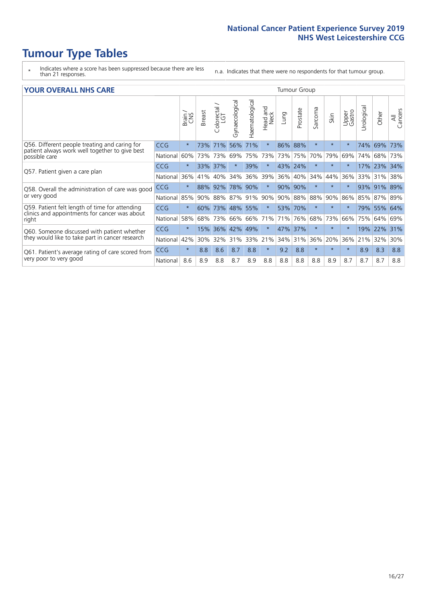- \* Indicates where a score has been suppressed because there are less than 21 responses.
- n.a. Indicates that there were no respondents for that tumour group.

#### **YOUR OVERALL NHS CARE** THE TWO CONTROLLER THE THE THROUP CHANGE THE TUMOUR GROUP

|                                                                                                          |            | Brain   | <b>Breast</b> | Colorectal<br>LGT | Gynaecological | Haematological | Head and<br>Neck | Lung    | Prostate | Sarcoma | Skin    | Upper<br>Gastro | Urologica | Other   | All<br>Cancers |  |  |  |  |  |
|----------------------------------------------------------------------------------------------------------|------------|---------|---------------|-------------------|----------------|----------------|------------------|---------|----------|---------|---------|-----------------|-----------|---------|----------------|--|--|--|--|--|
| Q56. Different people treating and caring for                                                            | <b>CCG</b> | $\star$ | 73%           | 71%               | 56%            | 71%            | $\star$          | 86%     | 88%      | $\star$ | $\star$ | $\star$         | 74%       | 69%     | 73%            |  |  |  |  |  |
| patient always work well together to give best<br>possible care                                          | National   | 60%     | 73%           | 73%               | 69%            | 75%            | 73%              | 73%     | 75%      | 70%     | 79%     | 69%             | 74%       | 68%     | 73%            |  |  |  |  |  |
| Q57. Patient given a care plan                                                                           | <b>CCG</b> | $\star$ | 33%           | 37%               |                | 39%            | $\star$          | 43% 24% |          | $\star$ | $\ast$  | $\star$         | 17%       | 23%     | 34%            |  |  |  |  |  |
|                                                                                                          | National   | 36%     | 41%           | 40%               | 34%            | 36%            | 39%              | 36%     | 40%      | 34%     | 44%     | 36%             | 33%       | 31%     | 38%            |  |  |  |  |  |
| Q58. Overall the administration of care was good                                                         | <b>CCG</b> | $\star$ | 88%           | 92%               | 78%            | 90%            | $\ast$           | 90% 90% |          | $\star$ | $\star$ |                 | 93%       | 91%     | 89%            |  |  |  |  |  |
| or very good                                                                                             | National   | 85%     | 90%           | 88%               | 87%            | 91%            | 90%              |         | 90% 88%  | 88%     | 90%     | 86%             | 85%       | 87%     | 89%            |  |  |  |  |  |
| Q59. Patient felt length of time for attending<br>clinics and appointments for cancer was about<br>right | <b>CCG</b> | $\star$ | 60%           | 73%               | 48% 55%        |                | $\star$          | 53% 70% |          | $\star$ | $\star$ | $\star$         |           | 79% 55% | 64%            |  |  |  |  |  |
|                                                                                                          | National   | 58%     | 68%           | 73%               | 66%            | 66%            | 71%              | 71%     | 76%      | 68%     | 73%     | 66%             | 75%       | 64%     | 69%            |  |  |  |  |  |
| Q60. Someone discussed with patient whether                                                              | <b>CCG</b> | $\star$ | 15%           | 36%               | 42%            | 49%            | $\star$          | 47%     | 37%      | $\star$ | $\star$ | $\star$         | 19%       | 22%     | 31%            |  |  |  |  |  |
| they would like to take part in cancer research                                                          | National   | 42%     | 30%           | 32%               | 31%            | 33%            | 21%              | 34%     | 31%      | 36%     | 20%     | 36%             | 21%       | 32%     | 30%            |  |  |  |  |  |
| Q61. Patient's average rating of care scored from<br>very poor to very good                              | <b>CCG</b> | $\star$ | 8.8           | 8.6               | 8.7            | 8.8            | $\ast$           | 9.2     | 8.8      | $\star$ | $\star$ | $\star$         | 8.9       | 8.3     | 8.8            |  |  |  |  |  |
|                                                                                                          | National   | 8.6     | 8.9           | 8.8               | 8.7            | 8.9            | 8.8              | 8.8     | 8.8      | 8.8     | 8.9     | 8.7             | 8.7       | 8.7     | 8.8            |  |  |  |  |  |
|                                                                                                          |            |         |               |                   |                |                |                  |         |          |         |         |                 |           |         |                |  |  |  |  |  |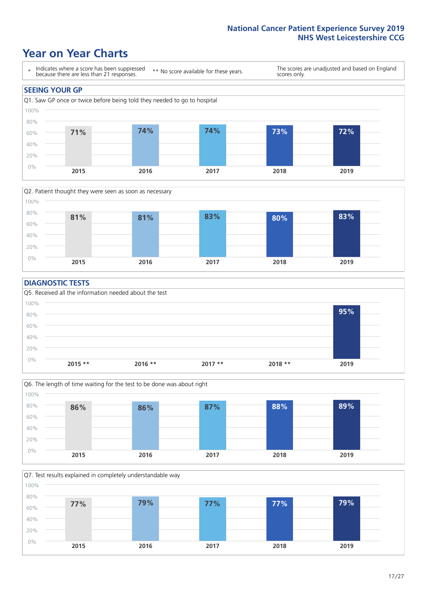### **Year on Year Charts**





#### **DIAGNOSTIC TESTS**





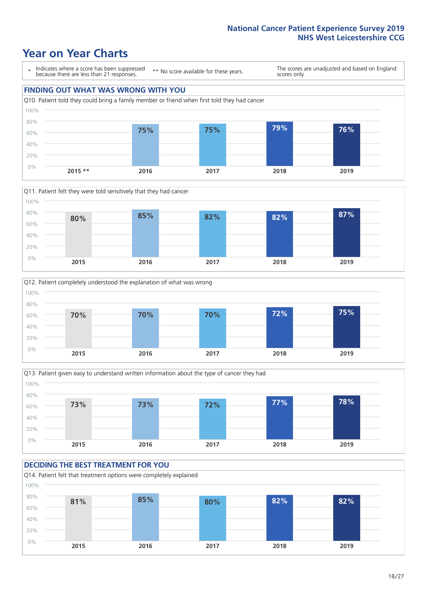









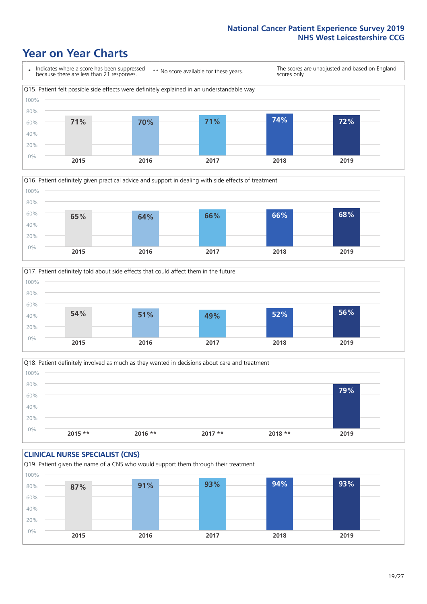





Q18. Patient definitely involved as much as they wanted in decisions about care and treatment  $0%$ 20% 40% 60% 80% 100% **2015 \*\* 2016 \*\* 2017 \*\* 2018 \*\* 2019 79%**

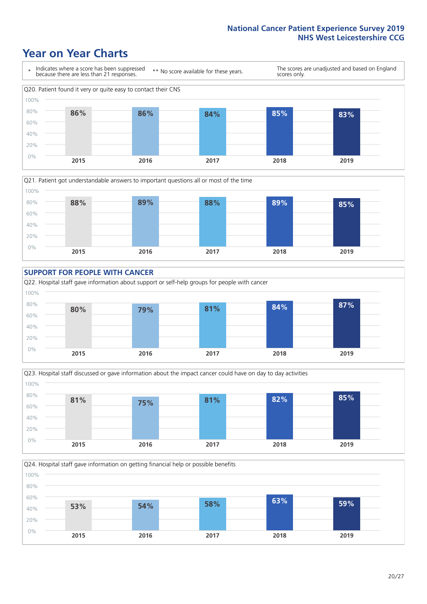







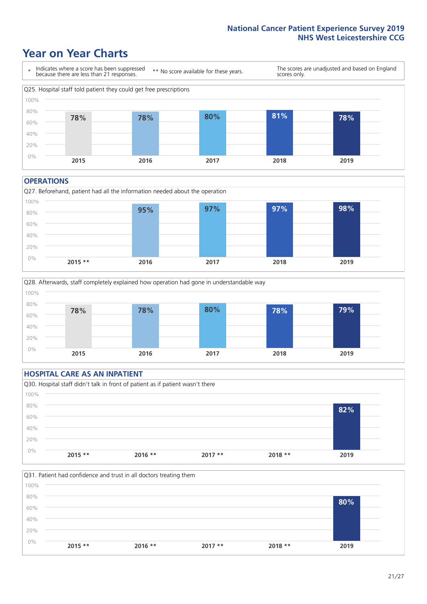### **Year on Year Charts**



#### **OPERATIONS**





#### **HOSPITAL CARE AS AN INPATIENT** Q30. Hospital staff didn't talk in front of patient as if patient wasn't there 0% 20% 40% 60% 80% 100% **2015 \*\* 2016 \*\* 2017 \*\* 2018 \*\* 2019 82%**

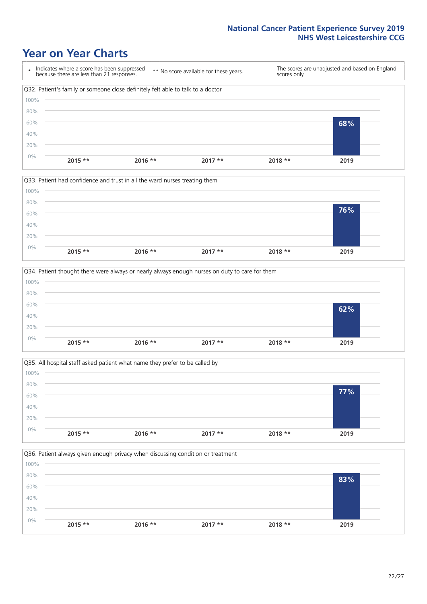







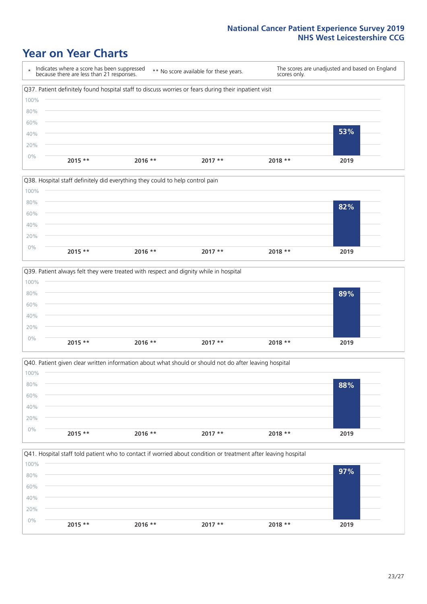







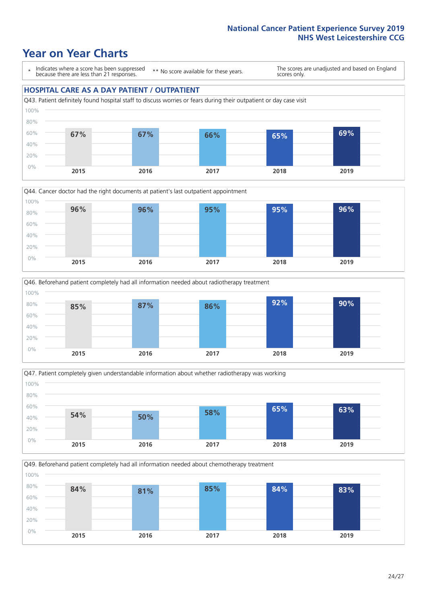### **Year on Year Charts**

\* Indicates where a score has been suppressed because there are less than 21 responses.

\*\* No score available for these years.

The scores are unadjusted and based on England scores only.

#### **HOSPITAL CARE AS A DAY PATIENT / OUTPATIENT**









Q49. Beforehand patient completely had all information needed about chemotherapy treatment 0% 20% 40% 60% 80% 100% **2015 2016 2017 2018 2019 84% 81% 85% 84% 83%**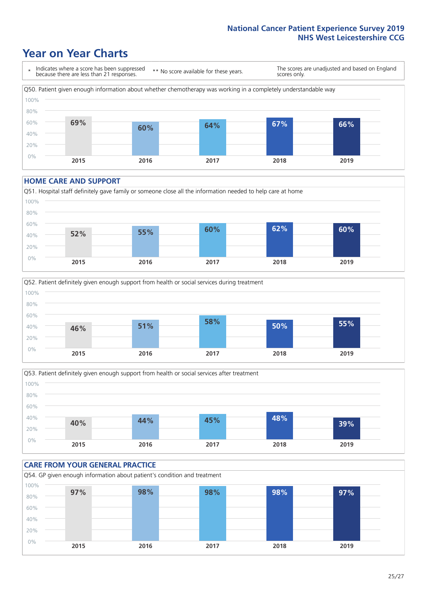### **Year on Year Charts**

\* Indicates where a score has been suppressed because there are less than 21 responses. \*\* No score available for these years. The scores are unadjusted and based on England scores only. Q50. Patient given enough information about whether chemotherapy was working in a completely understandable way 0% 20% 40% 60% 80% 100% **2015 2016 2017 2018 2019 69% 60% 64% 67% 66%**

#### **HOME CARE AND SUPPORT**







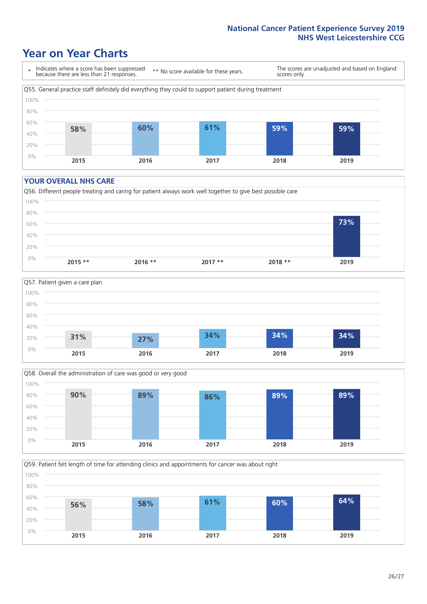### **Year on Year Charts**

\* Indicates where a score has been suppressed because there are less than 21 responses. \*\* No score available for these years. The scores are unadjusted and based on England scores only. Q55. General practice staff definitely did everything they could to support patient during treatment 0% 20% 40% 60% 80% 100% **2015 2016 2017 2018 2019 58% 60% 61% 59% 59%**

#### **YOUR OVERALL NHS CARE**







Q59. Patient felt length of time for attending clinics and appointments for cancer was about right